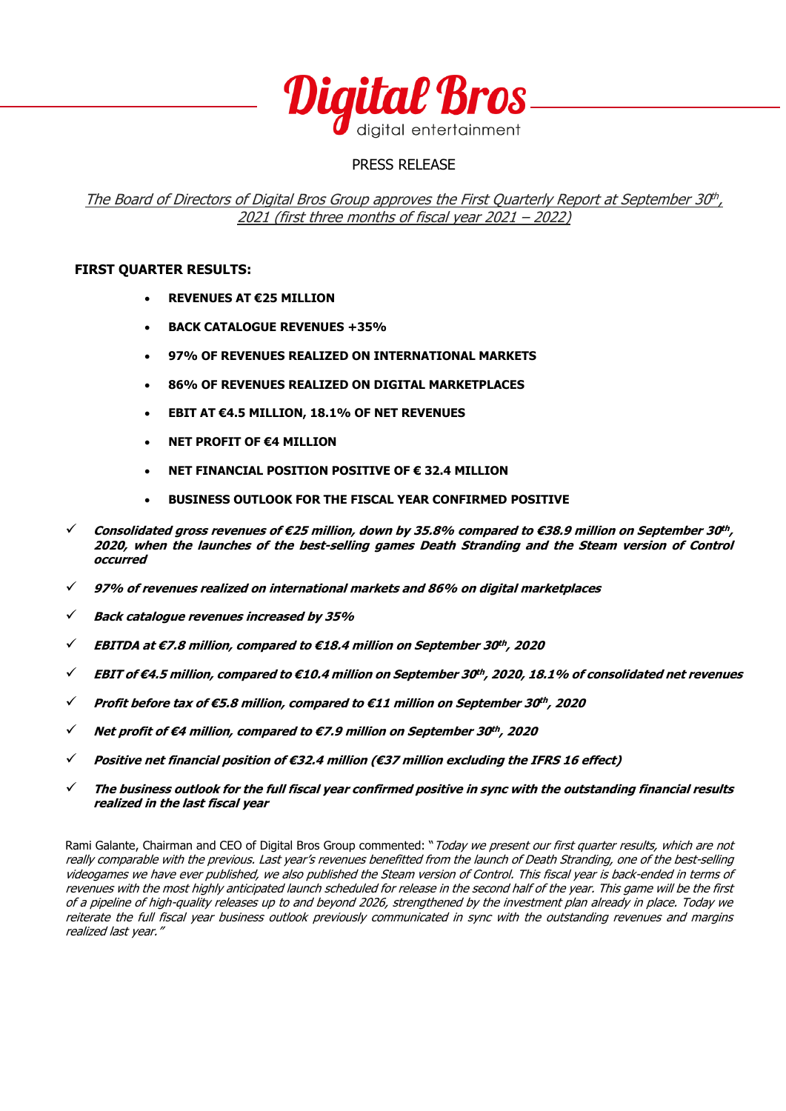

# PRESS RELEASE

The Board of Directors of Digital Bros Group approves the First Quarterly Report at September 30<sup>th</sup>, 2021 (first three months of fiscal year 2021 – 2022)

### **FIRST QUARTER RESULTS:**

- **REVENUES AT €25 MILLION**
- **BACK CATALOGUE REVENUES +35%**
- **97% OF REVENUES REALIZED ON INTERNATIONAL MARKETS**
- **86% OF REVENUES REALIZED ON DIGITAL MARKETPLACES**
- **EBIT AT €4.5 MILLION, 18.1% OF NET REVENUES**
- **NET PROFIT OF €4 MILLION**
- **NET FINANCIAL POSITION POSITIVE OF € 32.4 MILLION**
- **BUSINESS OUTLOOK FOR THE FISCAL YEAR CONFIRMED POSITIVE**
- ✓ **Consolidated gross revenues of €25 million, down by 35.8% compared to €38.9 million on September 30 th , 2020, when the launches of the best-selling games Death Stranding and the Steam version of Control occurred**
- ✓ **97% of revenues realized on international markets and 86% on digital marketplaces**
- ✓ **Back catalogue revenues increased by 35%**
- ✓ **EBITDA at €7.8 million, compared to €18.4 million on September 30 th , 2020**
- ✓ **EBIT of €4.5 million, compared to €10.4 million on September 30 th , 2020, 18.1% of consolidated net revenues**
- ✓ **Profit before tax of €5.8 million, compared to €11 million on September 30 th , 2020**
- ✓ **Net profit of €4 million, compared to €7.9 million on September 30 th , 2020**
- ✓ **Positive net financial position of €32.4 million (€37 million excluding the IFRS 16 effect)**
- ✓ **The business outlook for the full fiscal year confirmed positive in sync with the outstanding financial results realized in the last fiscal year**

Rami Galante, Chairman and CEO of Digital Bros Group commented: "Today we present our first quarter results, which are not really comparable with the previous. Last year's revenues benefitted from the launch of Death Stranding, one of the best-selling videogames we have ever published, we also published the Steam version of Control. This fiscal year is back-ended in terms of revenues with the most highly anticipated launch scheduled for release in the second half of the year. This game will be the first of a pipeline of high-quality releases up to and beyond 2026, strengthened by the investment plan already in place. Today we reiterate the full fiscal year business outlook previously communicated in sync with the outstanding revenues and margins realized last year."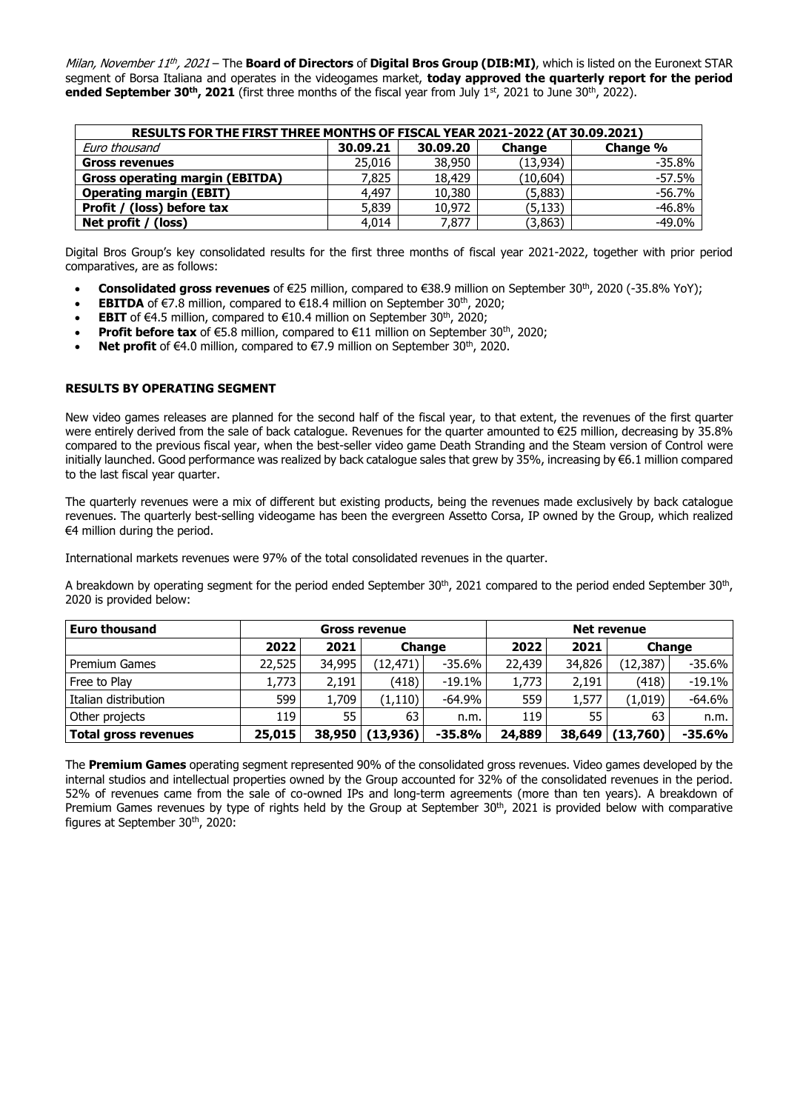*Milan, November 11<sup>th</sup>, 2021* – The **Board of Directors** of **Digital Bros Group (DIB:MI)**, which is listed on the Euronext STAR segment of Borsa Italiana and operates in the videogames market, **today approved the quarterly report for the period ended September 30th, 2021** (first three months of the fiscal year from July 1st, 2021 to June 30th, 2022).

| RESULTS FOR THE FIRST THREE MONTHS OF FISCAL YEAR 2021-2022 (AT 30.09.2021) |          |          |               |          |  |  |  |  |
|-----------------------------------------------------------------------------|----------|----------|---------------|----------|--|--|--|--|
| Euro thousand                                                               | 30.09.21 | 30,09,20 | <b>Change</b> | Change % |  |  |  |  |
| <b>Gross revenues</b>                                                       | 25,016   | 38,950   | (13.934)      | $-35.8%$ |  |  |  |  |
| <b>Gross operating margin (EBITDA)</b>                                      | 7,825    | 18,429   | (10, 604)     | $-57.5%$ |  |  |  |  |
| <b>Operating margin (EBIT)</b>                                              | 4,497    | 10,380   | (5,883)       | $-56.7%$ |  |  |  |  |
| Profit / (loss) before tax                                                  | 5,839    | 10,972   | (5, 133)      | $-46.8%$ |  |  |  |  |
| Net profit / (loss)                                                         | 4,014    | 7,877    | (3,863)       | $-49.0%$ |  |  |  |  |

Digital Bros Group's key consolidated results for the first three months of fiscal year 2021-2022, together with prior period comparatives, are as follows:

- **Consolidated gross revenues** of €25 million, compared to €38.9 million on September 30th, 2020 (-35.8% YoY);
- **EBITDA** of €7.8 million, compared to €18.4 million on September 30<sup>th</sup>, 2020;
- **EBIT** of €4.5 million, compared to €10.4 million on September 30<sup>th</sup>, 2020;
- Profit before tax of €5.8 million, compared to €11 million on September 30<sup>th</sup>, 2020;
- **Net profit** of €4.0 million, compared to €7.9 million on September 30<sup>th</sup>, 2020.

#### **RESULTS BY OPERATING SEGMENT**

New video games releases are planned for the second half of the fiscal year, to that extent, the revenues of the first quarter were entirely derived from the sale of back catalogue. Revenues for the quarter amounted to €25 million, decreasing by 35.8% compared to the previous fiscal year, when the best-seller video game Death Stranding and the Steam version of Control were initially launched. Good performance was realized by back catalogue sales that grew by 35%, increasing by €6.1 million compared to the last fiscal year quarter.

The quarterly revenues were a mix of different but existing products, being the revenues made exclusively by back catalogue revenues. The quarterly best-selling videogame has been the evergreen Assetto Corsa, IP owned by the Group, which realized €4 million during the period.

International markets revenues were 97% of the total consolidated revenues in the quarter.

A breakdown by operating segment for the period ended September 30<sup>th</sup>, 2021 compared to the period ended September 30<sup>th</sup>, 2020 is provided below:

| <b>Euro thousand</b><br><b>Gross revenue</b> |        |        |           | Net revenue |        |        |               |           |
|----------------------------------------------|--------|--------|-----------|-------------|--------|--------|---------------|-----------|
|                                              | 2022   | 2021   | Change    |             | 2022   | 2021   | <b>Change</b> |           |
| <b>Premium Games</b>                         | 22,525 | 34,995 | (12,471)  | $-35.6\%$   | 22,439 | 34,826 | (12, 387)     | -35.6%    |
| Free to Play                                 | 1,773  | 2,191  | (418)     | $-19.1%$    | 1,773  | 2,191  | (418)         | $-19.1%$  |
| Italian distribution                         | 599    | 1,709  | (1, 110)  | $-64.9\%$   | 559    | 1,577  | (1,019)       | $-64.6\%$ |
| Other projects                               | 119    | 55     | 63        | n.m.        | 119    | 55     | 63            | n.m.      |
| <b>Total gross revenues</b>                  | 25,015 | 38,950 | (13, 936) | $-35.8%$    | 24,889 | 38,649 | (13,760)      | $-35.6\%$ |

The **Premium Games** operating segment represented 90% of the consolidated gross revenues. Video games developed by the internal studios and intellectual properties owned by the Group accounted for 32% of the consolidated revenues in the period. 52% of revenues came from the sale of co-owned IPs and long-term agreements (more than ten years). A breakdown of Premium Games revenues by type of rights held by the Group at September  $30<sup>th</sup>$ , 2021 is provided below with comparative figures at September 30th, 2020: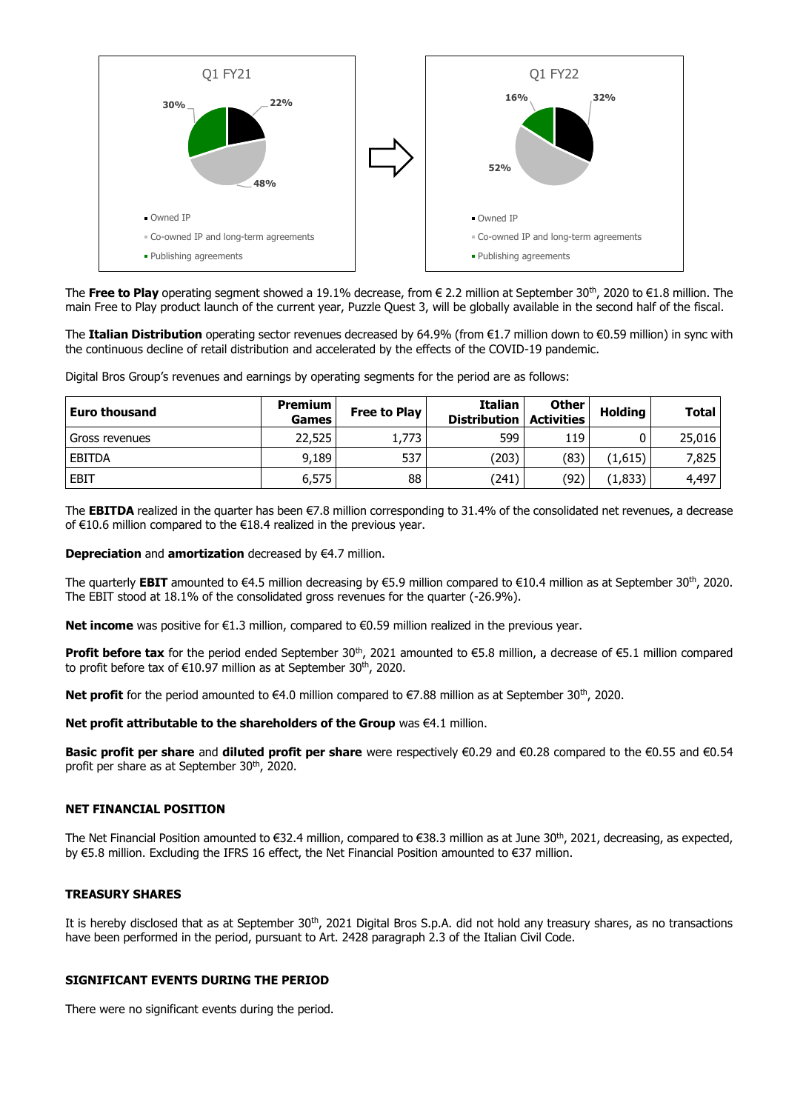

The **Free to Play** operating segment showed a 19.1% decrease, from € 2.2 million at September 30th, 2020 to €1.8 million. The main Free to Play product launch of the current year, Puzzle Quest 3, will be globally available in the second half of the fiscal.

The **Italian Distribution** operating sector revenues decreased by 64.9% (from €1.7 million down to €0.59 million) in sync with the continuous decline of retail distribution and accelerated by the effects of the COVID-19 pandemic.

Digital Bros Group's revenues and earnings by operating segments for the period are as follows:

| <b>Euro thousand</b> | Premium  <br><b>Games</b> | Free to Play | <b>Italian</b><br><b>Distribution</b> | Other I<br><b>Activities</b> | Holding | <b>Total</b> |
|----------------------|---------------------------|--------------|---------------------------------------|------------------------------|---------|--------------|
| Gross revenues       | 22,525                    | 1,773        | 599                                   | 119                          |         | 25,016       |
| EBITDA               | 9,189                     | 537          | (203)                                 | (83)                         | (1,615) | 7,825        |
| <b>EBIT</b>          | 6,575                     | 88           | (241)                                 | (92)                         | (1,833) | 4,497        |

The **EBITDA** realized in the quarter has been €7.8 million corresponding to 31.4% of the consolidated net revenues, a decrease of €10.6 million compared to the €18.4 realized in the previous year.

#### **Depreciation** and **amortization** decreased by €4.7 million.

The quarterly **EBIT** amounted to €4.5 million decreasing by €5.9 million compared to €10.4 million as at September 30<sup>th</sup>, 2020. The EBIT stood at 18.1% of the consolidated gross revenues for the quarter (-26.9%).

**Net income** was positive for €1.3 million, compared to €0.59 million realized in the previous year.

Profit before tax for the period ended September 30<sup>th</sup>, 2021 amounted to €5.8 million, a decrease of €5.1 million compared to profit before tax of €10.97 million as at September 30<sup>th</sup>, 2020.

**Net profit** for the period amounted to €4.0 million compared to €7.88 million as at September 30<sup>th</sup>, 2020.

#### **Net profit attributable to the shareholders of the Group** was €4.1 million.

**Basic profit per share** and **diluted profit per share** were respectively €0.29 and €0.28 compared to the €0.55 and €0.54 profit per share as at September 30<sup>th</sup>, 2020.

#### **NET FINANCIAL POSITION**

The Net Financial Position amounted to €32.4 million, compared to €38.3 million as at June 30<sup>th</sup>, 2021, decreasing, as expected, by €5.8 million. Excluding the IFRS 16 effect, the Net Financial Position amounted to €37 million.

#### **TREASURY SHARES**

It is hereby disclosed that as at September 30<sup>th</sup>, 2021 Digital Bros S.p.A. did not hold any treasury shares, as no transactions have been performed in the period, pursuant to Art. 2428 paragraph 2.3 of the Italian Civil Code.

#### **SIGNIFICANT EVENTS DURING THE PERIOD**

There were no significant events during the period.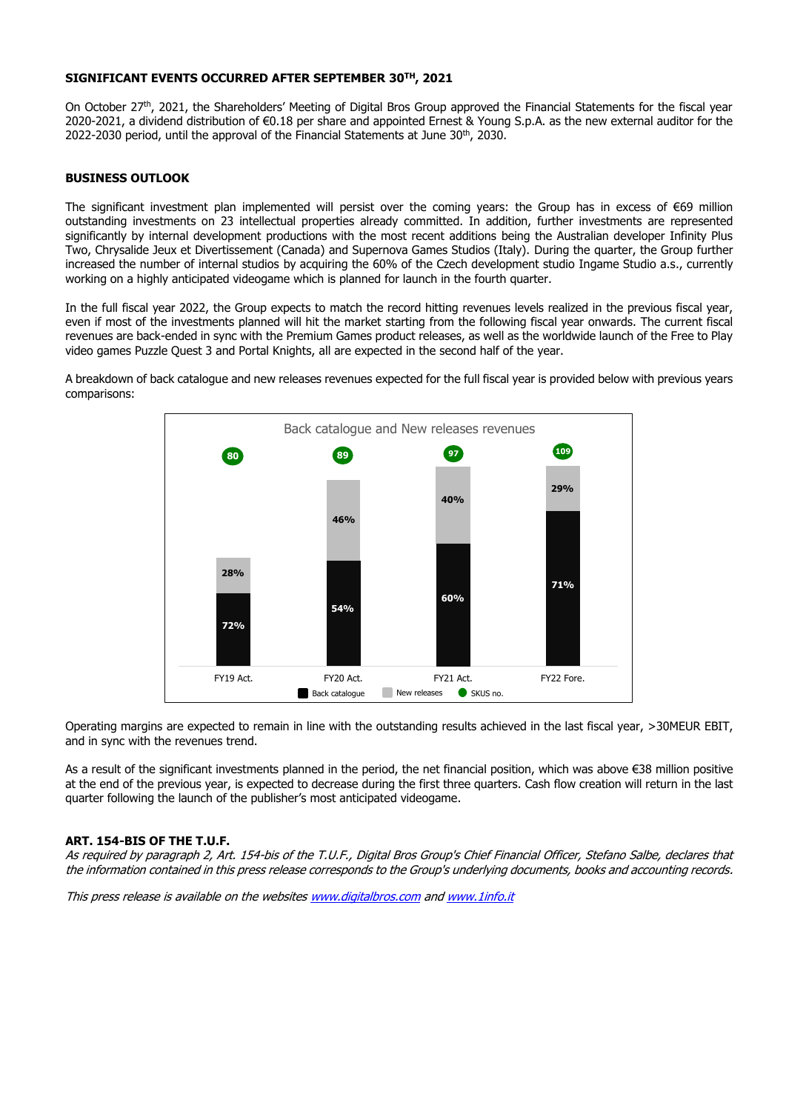#### **SIGNIFICANT EVENTS OCCURRED AFTER SEPTEMBER 30TH, 2021**

On October 27th, 2021, the Shareholders' Meeting of Digital Bros Group approved the Financial Statements for the fiscal year 2020-2021, a dividend distribution of €0.18 per share and appointed Ernest & Young S.p.A. as the new external auditor for the 2022-2030 period, until the approval of the Financial Statements at June 30<sup>th</sup>, 2030.

#### **BUSINESS OUTLOOK**

The significant investment plan implemented will persist over the coming years: the Group has in excess of €69 million outstanding investments on 23 intellectual properties already committed. In addition, further investments are represented significantly by internal development productions with the most recent additions being the Australian developer Infinity Plus Two, Chrysalide Jeux et Divertissement (Canada) and Supernova Games Studios (Italy). During the quarter, the Group further increased the number of internal studios by acquiring the 60% of the Czech development studio Ingame Studio a.s., currently working on a highly anticipated videogame which is planned for launch in the fourth quarter.

In the full fiscal year 2022, the Group expects to match the record hitting revenues levels realized in the previous fiscal year, even if most of the investments planned will hit the market starting from the following fiscal year onwards. The current fiscal revenues are back-ended in sync with the Premium Games product releases, as well as the worldwide launch of the Free to Play video games Puzzle Quest 3 and Portal Knights, all are expected in the second half of the year.

A breakdown of back catalogue and new releases revenues expected for the full fiscal year is provided below with previous years comparisons:



Operating margins are expected to remain in line with the outstanding results achieved in the last fiscal year, >30MEUR EBIT, and in sync with the revenues trend.

As a result of the significant investments planned in the period, the net financial position, which was above €38 million positive at the end of the previous year, is expected to decrease during the first three quarters. Cash flow creation will return in the last quarter following the launch of the publisher's most anticipated videogame.

#### **ART. 154-BIS OF THE T.U.F.**

As required by paragraph 2, Art. 154-bis of the T.U.F., Digital Bros Group's Chief Financial Officer, Stefano Salbe, declares that the information contained in this press release corresponds to the Group's underlying documents, books and accounting records.

This press release is available on the website[s www.digitalbros.com](http://www.digitalbros.com/) an[d www.1info.it](http://www.1info.it/)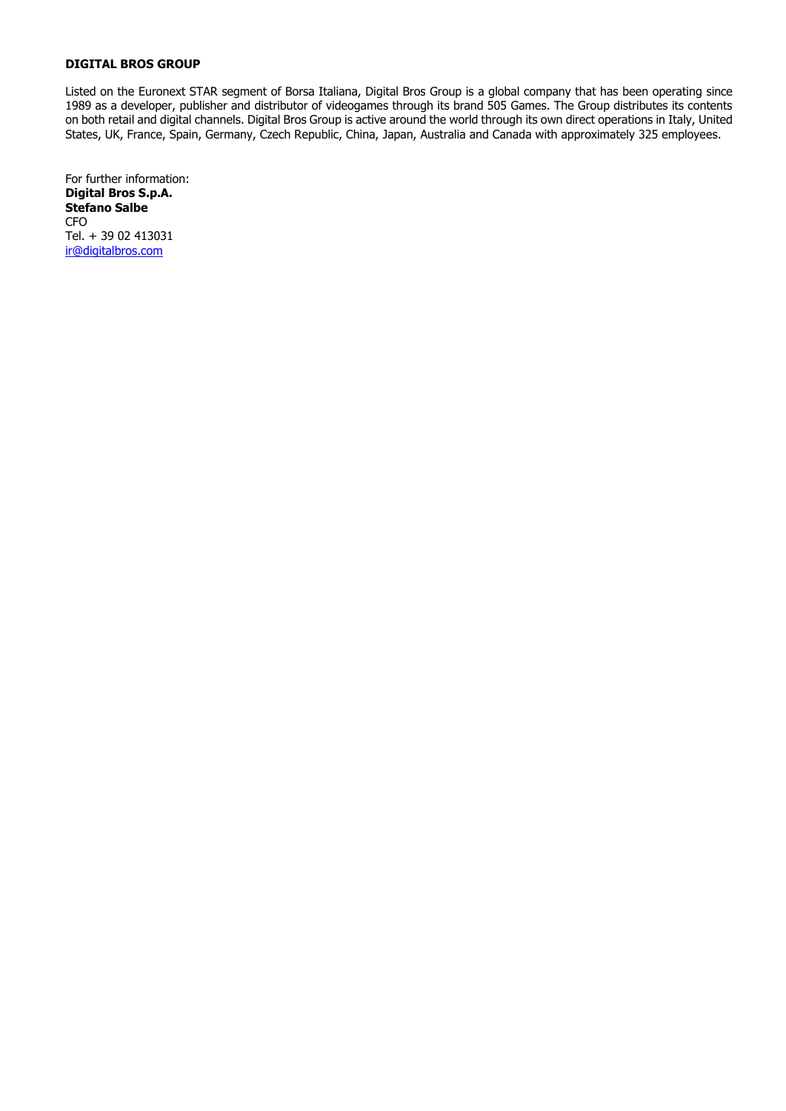Listed on the Euronext STAR segment of Borsa Italiana, Digital Bros Group is a global company that has been operating since 1989 as a developer, publisher and distributor of videogames through its brand 505 Games. The Group distributes its contents on both retail and digital channels. Digital Bros Group is active around the world through its own direct operations in Italy, United States, UK, France, Spain, Germany, Czech Republic, China, Japan, Australia and Canada with approximately 325 employees.

For further information: **Digital Bros S.p.A. Stefano Salbe** CFO Tel. + 39 02 413031 [ir@digitalbros.com](mailto:ir@digitalbros.com)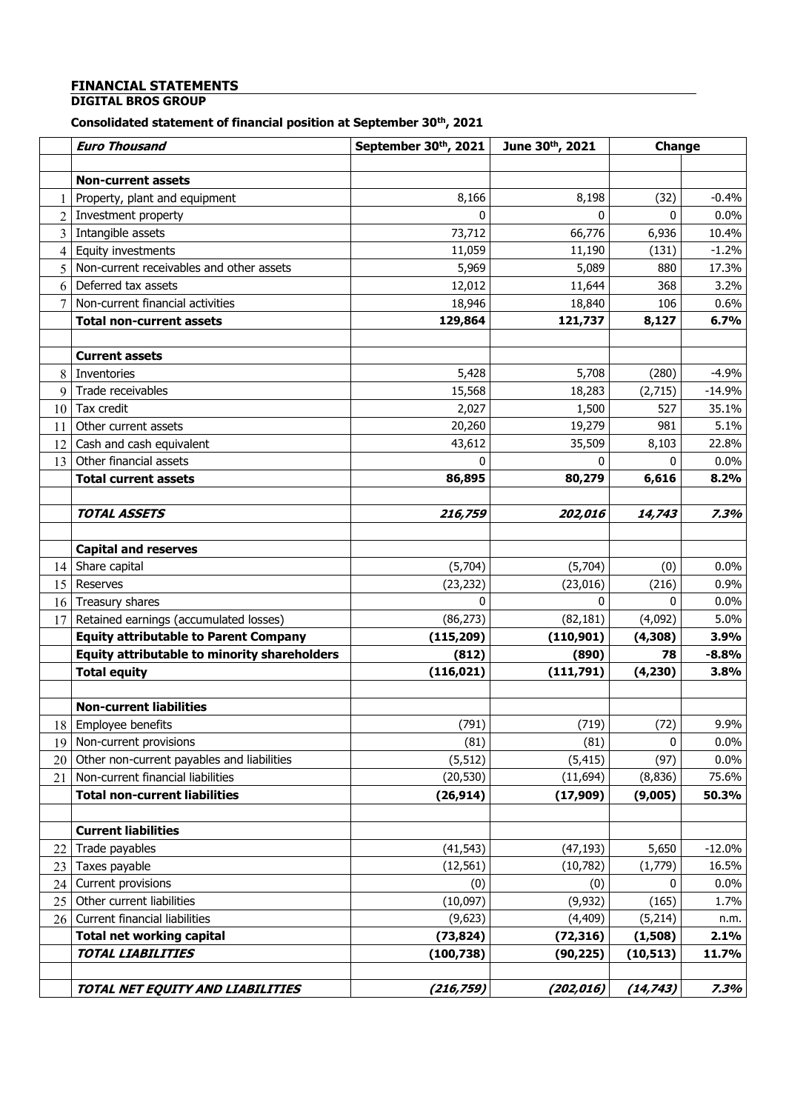# **FINANCIAL STATEMENTS**

# **DIGITAL BROS GROUP**

# **Consolidated statement of financial position at September 30th, 2021**

|                | <b>Euro Thousand</b>                                | September 30th, 2021 | June 30th, 2021 | Change    |          |
|----------------|-----------------------------------------------------|----------------------|-----------------|-----------|----------|
|                |                                                     |                      |                 |           |          |
|                | <b>Non-current assets</b>                           |                      |                 |           |          |
| 1              | Property, plant and equipment                       | 8,166                | 8,198           | (32)      | $-0.4%$  |
| $\overline{2}$ | Investment property                                 | $\mathbf{0}$         | 0               | 0         | 0.0%     |
| 3              | Intangible assets                                   | 73,712               | 66,776          | 6,936     | 10.4%    |
| $\overline{4}$ | Equity investments                                  | 11,059               | 11,190          | (131)     | $-1.2%$  |
| 5              | Non-current receivables and other assets            | 5,969                | 5,089           | 880       | 17.3%    |
| 6              | Deferred tax assets                                 | 12,012               | 11,644          | 368       | 3.2%     |
| 7              | Non-current financial activities                    | 18,946               | 18,840          | 106       | 0.6%     |
|                | <b>Total non-current assets</b>                     | 129,864              | 121,737         | 8,127     | 6.7%     |
|                |                                                     |                      |                 |           |          |
|                | <b>Current assets</b>                               |                      |                 |           |          |
| 8              | Inventories                                         | 5,428                | 5,708           | (280)     | $-4.9%$  |
| 9              | Trade receivables                                   | 15,568               | 18,283          | (2,715)   | $-14.9%$ |
| 10             | Tax credit                                          | 2,027                | 1,500           | 527       | 35.1%    |
| 11             | Other current assets                                | 20,260               | 19,279          | 981       | 5.1%     |
| 12             | Cash and cash equivalent                            | 43,612               | 35,509          | 8,103     | 22.8%    |
| 13             | Other financial assets                              |                      | O               | 0         | 0.0%     |
|                | <b>Total current assets</b>                         | 86,895               | 80,279          | 6,616     | 8.2%     |
|                |                                                     |                      |                 |           |          |
|                | <b>TOTAL ASSETS</b>                                 | 216,759              | 202,016         | 14,743    | 7.3%     |
|                |                                                     |                      |                 |           |          |
|                | <b>Capital and reserves</b>                         |                      |                 |           |          |
| 14             | Share capital                                       | (5,704)              | (5,704)         | (0)       | 0.0%     |
| 15             | Reserves                                            | (23, 232)            | (23, 016)       | (216)     | 0.9%     |
| 16             | Treasury shares                                     | $\Omega$             | 0               | 0         | 0.0%     |
| 17             | Retained earnings (accumulated losses)              | (86, 273)            | (82, 181)       | (4,092)   | 5.0%     |
|                | <b>Equity attributable to Parent Company</b>        | (115, 209)           | (110, 901)      | (4,308)   | 3.9%     |
|                | <b>Equity attributable to minority shareholders</b> | (812)                | (890)           | 78        | $-8.8%$  |
|                | <b>Total equity</b>                                 | (116, 021)           | (111,791)       | (4, 230)  | 3.8%     |
|                |                                                     |                      |                 |           |          |
|                | <b>Non-current liabilities</b>                      |                      |                 |           |          |
|                | 18 Employee benefits                                | (791)                | (719)           | (72)      | 9.9%     |
| 19             | Non-current provisions                              | (81)                 | (81)            | 0         | $0.0\%$  |
| 20             | Other non-current payables and liabilities          | (5, 512)             | (5, 415)        | (97)      | $0.0\%$  |
| 21             | Non-current financial liabilities                   | (20, 530)            | (11, 694)       | (8, 836)  | 75.6%    |
|                | <b>Total non-current liabilities</b>                | (26, 914)            | (17,909)        | (9,005)   | 50.3%    |
|                |                                                     |                      |                 |           |          |
|                | <b>Current liabilities</b>                          |                      |                 |           |          |
| 22             | Trade payables                                      | (41, 543)            | (47, 193)       | 5,650     | $-12.0%$ |
| 23             | Taxes payable                                       | (12, 561)            | (10, 782)       | (1,779)   | 16.5%    |
| 24             | Current provisions                                  | (0)                  | (0)             | 0         | 0.0%     |
| 25             | Other current liabilities                           | (10,097)             | (9, 932)        | (165)     | 1.7%     |
| 26             | Current financial liabilities                       | (9,623)              | (4, 409)        | (5, 214)  | n.m.     |
|                | <b>Total net working capital</b>                    | (73, 824)            | (72, 316)       | (1,508)   | 2.1%     |
|                | <b>TOTAL LIABILITIES</b>                            | (100, 738)           | (90, 225)       | (10, 513) | 11.7%    |
|                |                                                     |                      |                 |           |          |
|                | TOTAL NET EQUITY AND LIABILITIES                    | (216, 759)           | (202, 016)      | (14, 743) | 7.3%     |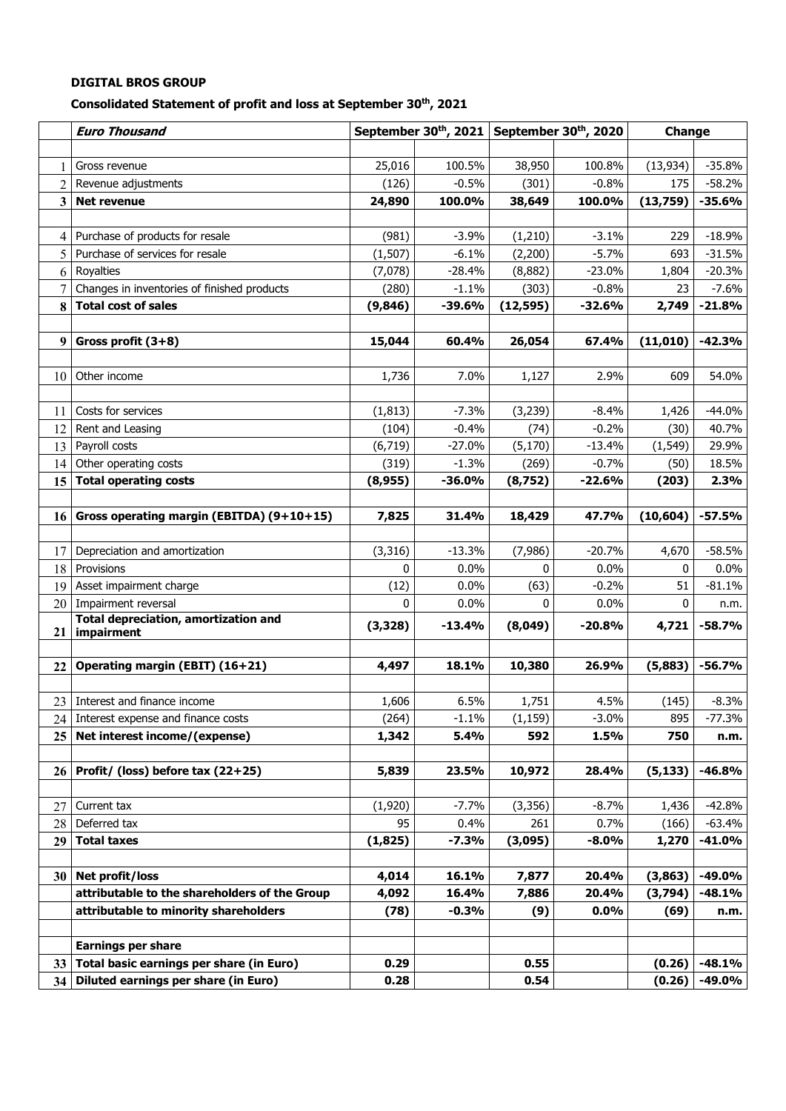# **Consolidated Statement of profit and loss at September 30th, 2021**

|                 | <b>Euro Thousand</b>                                      |          | September 30 <sup>th</sup> , 2021 September 30 <sup>th</sup> , 2020 |              |          | Change       |          |
|-----------------|-----------------------------------------------------------|----------|---------------------------------------------------------------------|--------------|----------|--------------|----------|
|                 |                                                           |          |                                                                     |              |          |              |          |
| 1               | Gross revenue                                             | 25,016   | 100.5%                                                              | 38,950       | 100.8%   | (13, 934)    | $-35.8%$ |
| 2               | Revenue adjustments                                       | (126)    | $-0.5%$                                                             | (301)        | $-0.8%$  | 175          | $-58.2%$ |
| 3               | <b>Net revenue</b>                                        | 24,890   | 100.0%                                                              | 38,649       | 100.0%   | (13, 759)    | $-35.6%$ |
|                 |                                                           |          |                                                                     |              |          |              |          |
| 4               | Purchase of products for resale                           | (981)    | $-3.9%$                                                             | (1, 210)     | $-3.1%$  | 229          | $-18.9%$ |
| 5               | Purchase of services for resale                           | (1, 507) | $-6.1%$                                                             | (2, 200)     | $-5.7%$  | 693          | $-31.5%$ |
| 6               | Royalties                                                 | (7,078)  | $-28.4%$                                                            | (8,882)      | $-23.0%$ | 1,804        | $-20.3%$ |
| 7               | Changes in inventories of finished products               | (280)    | $-1.1%$                                                             | (303)        | $-0.8%$  | 23           | $-7.6%$  |
| 8               | <b>Total cost of sales</b>                                | (9, 846) | $-39.6%$                                                            | (12, 595)    | $-32.6%$ | 2,749        | $-21.8%$ |
|                 |                                                           |          |                                                                     |              |          |              |          |
| 9               | Gross profit $(3+8)$                                      | 15,044   | 60.4%                                                               | 26,054       | 67.4%    | (11,010)     | $-42.3%$ |
|                 |                                                           |          |                                                                     |              |          |              |          |
| 10              | Other income                                              | 1,736    | 7.0%                                                                | 1,127        | 2.9%     | 609          | 54.0%    |
|                 |                                                           |          |                                                                     |              |          |              |          |
| 11              | Costs for services                                        | (1, 813) | $-7.3%$                                                             | (3, 239)     | $-8.4%$  | 1,426        | $-44.0%$ |
| 12              | Rent and Leasing                                          | (104)    | $-0.4%$                                                             | (74)         | $-0.2%$  | (30)         | 40.7%    |
| 13              | Payroll costs                                             | (6, 719) | $-27.0%$                                                            | (5, 170)     | $-13.4%$ | (1, 549)     | 29.9%    |
| 14              | Other operating costs                                     | (319)    | $-1.3%$                                                             | (269)        | $-0.7%$  | (50)         | 18.5%    |
| 15              | <b>Total operating costs</b>                              | (8,955)  | $-36.0%$                                                            | (8, 752)     | $-22.6%$ | (203)        | 2.3%     |
|                 |                                                           |          |                                                                     |              |          |              |          |
| 16              | Gross operating margin (EBITDA) (9+10+15)                 | 7,825    | 31.4%                                                               | 18,429       | 47.7%    | (10, 604)    | $-57.5%$ |
|                 |                                                           |          |                                                                     |              |          |              |          |
| 17              | Depreciation and amortization                             | (3, 316) | $-13.3%$                                                            | (7,986)      | $-20.7%$ | 4,670        | $-58.5%$ |
| 18              | Provisions                                                | 0        | 0.0%                                                                | $\mathbf{0}$ | 0.0%     | $\mathbf{0}$ | $0.0\%$  |
| 19              | Asset impairment charge                                   | (12)     | 0.0%                                                                | (63)         | $-0.2%$  | 51           | $-81.1%$ |
|                 | 20   Impairment reversal                                  | 0        | 0.0%                                                                | 0            | 0.0%     | $\bf{0}$     | n.m.     |
| 21              | <b>Total depreciation, amortization and</b><br>impairment | (3, 328) | -13.4%                                                              | (8,049)      | $-20.8%$ | 4,721        | $-58.7%$ |
|                 |                                                           |          |                                                                     |              |          |              |          |
| 22              | Operating margin (EBIT) (16+21)                           | 4,497    | 18.1%                                                               | 10,380       | 26.9%    | (5,883)      | $-56.7%$ |
|                 |                                                           |          |                                                                     |              |          |              |          |
|                 | 23 Interest and finance income                            | 1,606    | 6.5%                                                                | 1,751        | 4.5%     | (145)        | $-8.3%$  |
|                 | 24 Interest expense and finance costs                     | (264)    | $-1.1%$                                                             | (1, 159)     | $-3.0%$  | 895          | $-77.3%$ |
| 25              | Net interest income/(expense)                             | 1,342    | 5.4%                                                                | 592          | 1.5%     | 750          | n.m.     |
|                 |                                                           |          |                                                                     |              |          |              |          |
| 26              | Profit/ (loss) before tax (22+25)                         | 5,839    | 23.5%                                                               | 10,972       | 28.4%    | (5, 133)     | $-46.8%$ |
|                 |                                                           |          |                                                                     |              |          |              |          |
| 27              | Current tax                                               | (1,920)  | $-7.7%$                                                             | (3, 356)     | $-8.7%$  | 1,436        | $-42.8%$ |
| 28              | Deferred tax                                              | 95       | 0.4%                                                                | 261          | 0.7%     | (166)        | $-63.4%$ |
| 29              | <b>Total taxes</b>                                        | (1,825)  | $-7.3%$                                                             | (3,095)      | $-8.0\%$ | 1,270        | -41.0%   |
|                 |                                                           |          |                                                                     |              |          |              |          |
|                 | 30 Net profit/loss                                        | 4,014    | 16.1%                                                               | 7,877        | 20.4%    | (3, 863)     | -49.0%   |
|                 | attributable to the shareholders of the Group             | 4,092    | 16.4%                                                               | 7,886        | 20.4%    | (3,794)      | $-48.1%$ |
|                 | attributable to minority shareholders                     | (78)     | $-0.3%$                                                             | (9)          | 0.0%     | (69)         | n.m.     |
|                 |                                                           |          |                                                                     |              |          |              |          |
|                 | <b>Earnings per share</b>                                 |          |                                                                     |              |          |              |          |
| 33 <sup>2</sup> | Total basic earnings per share (in Euro)                  | 0.29     |                                                                     | 0.55         |          | (0.26)       | $-48.1%$ |
| 34 <sup>1</sup> | Diluted earnings per share (in Euro)                      | 0.28     |                                                                     | 0.54         |          | (0.26)       | -49.0%   |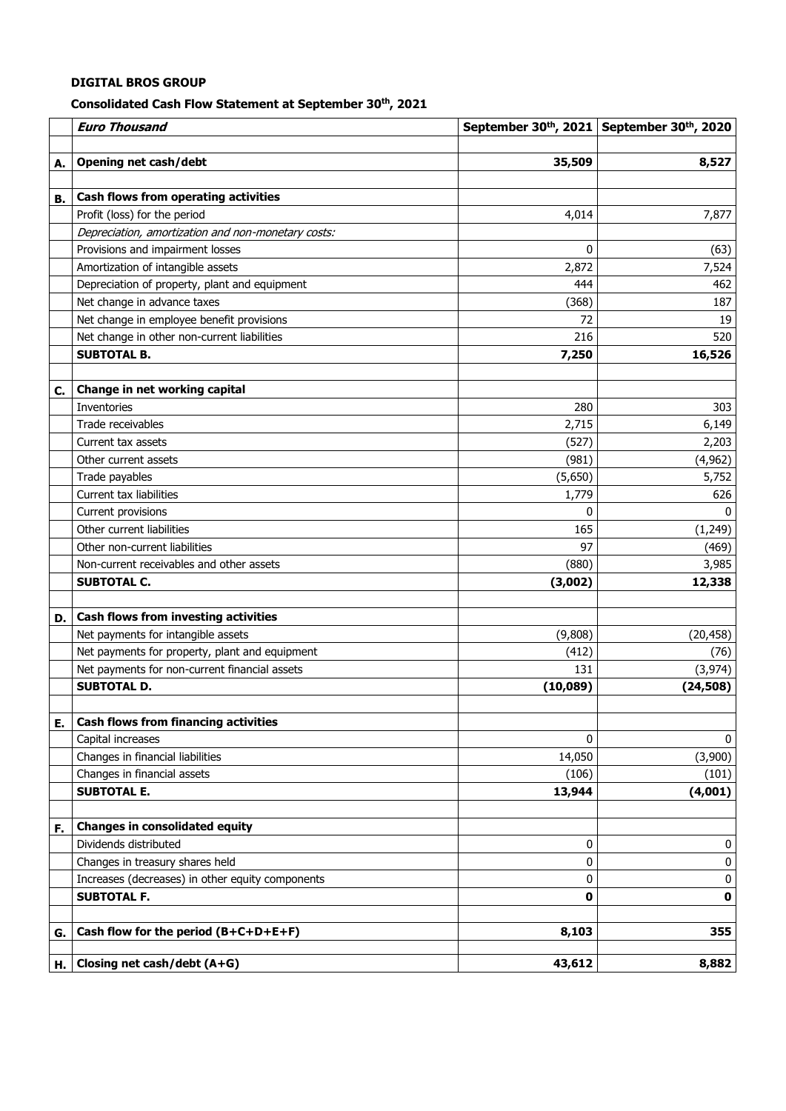# **Consolidated Cash Flow Statement at September 30th, 2021**

|    | <b>Euro Thousand</b>                                           |              | September 30 <sup>th</sup> , 2021 September 30 <sup>th</sup> , 2020 |
|----|----------------------------------------------------------------|--------------|---------------------------------------------------------------------|
|    |                                                                |              |                                                                     |
| Α. | Opening net cash/debt                                          | 35,509       | 8,527                                                               |
|    |                                                                |              |                                                                     |
| В. | Cash flows from operating activities                           |              |                                                                     |
|    | Profit (loss) for the period                                   | 4,014        | 7,877                                                               |
|    | Depreciation, amortization and non-monetary costs:             |              |                                                                     |
|    | Provisions and impairment losses                               | $\mathbf{0}$ | (63)                                                                |
|    | Amortization of intangible assets                              | 2,872        | 7,524                                                               |
|    | Depreciation of property, plant and equipment                  | 444          | 462                                                                 |
|    | Net change in advance taxes                                    | (368)        | 187                                                                 |
|    | Net change in employee benefit provisions                      | 72           | 19                                                                  |
|    | Net change in other non-current liabilities                    | 216          | 520                                                                 |
|    | <b>SUBTOTAL B.</b>                                             | 7,250        | 16,526                                                              |
|    |                                                                |              |                                                                     |
| C. | Change in net working capital                                  |              |                                                                     |
|    | Inventories                                                    | 280          | 303                                                                 |
|    | Trade receivables                                              | 2,715        | 6,149                                                               |
|    | Current tax assets                                             | (527)        | 2,203                                                               |
|    | Other current assets                                           | (981)        | (4,962)                                                             |
|    | Trade payables                                                 | (5,650)      | 5,752                                                               |
|    | Current tax liabilities                                        | 1,779        | 626                                                                 |
|    | Current provisions                                             | 0            | $\Omega$                                                            |
|    | Other current liabilities                                      | 165          | (1, 249)                                                            |
|    | Other non-current liabilities                                  | 97           | (469)                                                               |
|    | Non-current receivables and other assets                       | (880)        | 3,985                                                               |
|    | <b>SUBTOTAL C.</b>                                             | (3,002)      | 12,338                                                              |
|    |                                                                |              |                                                                     |
| D. | Cash flows from investing activities                           |              |                                                                     |
|    | Net payments for intangible assets                             | (9,808)      | (20, 458)                                                           |
|    | Net payments for property, plant and equipment                 | (412)        | (76)                                                                |
|    | Net payments for non-current financial assets                  | 131          | (3, 974)                                                            |
|    | <b>SUBTOTAL D.</b>                                             | (10,089)     | (24, 508)                                                           |
|    |                                                                |              |                                                                     |
| Ε. | <b>Cash flows from financing activities</b>                    |              |                                                                     |
|    | Capital increases                                              | 0            | 0                                                                   |
|    | Changes in financial liabilities                               | 14,050       | (3,900)                                                             |
|    | Changes in financial assets                                    | (106)        | (101)                                                               |
|    | <b>SUBTOTAL E.</b>                                             | 13,944       | (4,001)                                                             |
|    |                                                                |              |                                                                     |
| F. | <b>Changes in consolidated equity</b><br>Dividends distributed | 0            | 0                                                                   |
|    | Changes in treasury shares held                                |              |                                                                     |
|    |                                                                | 0            | 0                                                                   |
|    | Increases (decreases) in other equity components               | 0            | 0                                                                   |
|    | <b>SUBTOTAL F.</b>                                             | 0            | 0                                                                   |
|    | Cash flow for the period (B+C+D+E+F)                           | 8,103        | 355                                                                 |
| G. |                                                                |              |                                                                     |
| н. | Closing net cash/debt (A+G)                                    | 43,612       | 8,882                                                               |